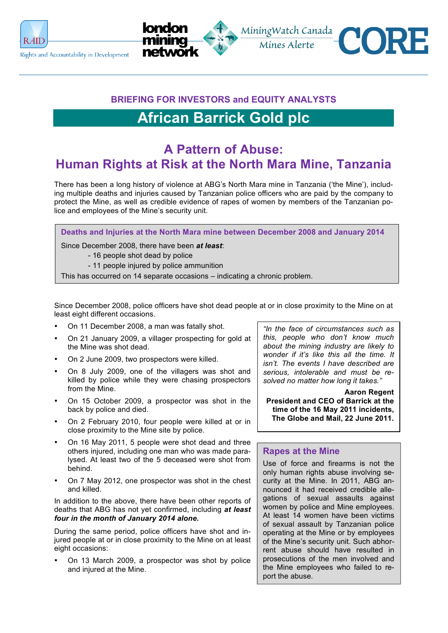

Rights and Accountability in Development



MiningWatch Canada

Mines Alerte

NOR

## **African Barrick Gold plc**

### **A Pattern of Abuse: Human Rights at Risk at the North Mara Mine, Tanzania**

There has been a long history of violence at ABG's North Mara mine in Tanzania ('the Mine'), including multiple deaths and injuries caused by Tanzanian police officers who are paid by the company to protect the Mine, as well as credible evidence of rapes of women by members of the Tanzanian police and employees of the Mine's security unit.

**Deaths and Injuries at the North Mara mine between December 2008 and January 2014**

Since December 2008, there have been *at least*:

- 16 people shot dead by police
- 11 people injured by police ammunition

This has occurred on 14 separate occasions – indicating a chronic problem.

Since December 2008, police officers have shot dead people at or in close proximity to the Mine on at least eight different occasions.

- On 11 December 2008, a man was fatally shot.
- On 21 January 2009, a villager prospecting for gold at the Mine was shot dead.
- On 2 June 2009, two prospectors were killed.
- On 8 July 2009, one of the villagers was shot and killed by police while they were chasing prospectors from the Mine.
- On 15 October 2009, a prospector was shot in the back by police and died.
- On 2 February 2010, four people were killed at or in close proximity to the Mine site by police.
- On 16 May 2011, 5 people were shot dead and three others injured, including one man who was made paralysed. At least two of the 5 deceased were shot from behind.
- On 7 May 2012, one prospector was shot in the chest and killed.

In addition to the above, there have been other reports of deaths that ABG has not yet confirmed, including *at least four in the month of January 2014 alone.* 

During the same period, police officers have shot and injured people at or in close proximity to the Mine on at least eight occasions:

• On 13 March 2009, a prospector was shot by police and injured at the Mine.

*"In the face of circumstances such as this, people who don't know much about the mining industry are likely to wonder if it's like this all the time. It isn't. The events I have described are serious, intolerable and must be resolved no matter how long it takes."* 

**Aaron Regent President and CEO of Barrick at the time of the 16 May 2011 incidents, The Globe and Mail, 22 June 2011.**

#### **Rapes at the Mine**

Use of force and firearms is not the only human rights abuse involving security at the Mine. In 2011, ABG announced it had received credible allegations of sexual assaults against women by police and Mine employees. At least 14 women have been victims of sexual assault by Tanzanian police operating at the Mine or by employees of the Mine's security unit. Such abhorrent abuse should have resulted in prosecutions of the men involved and the Mine employees who failed to report the abuse.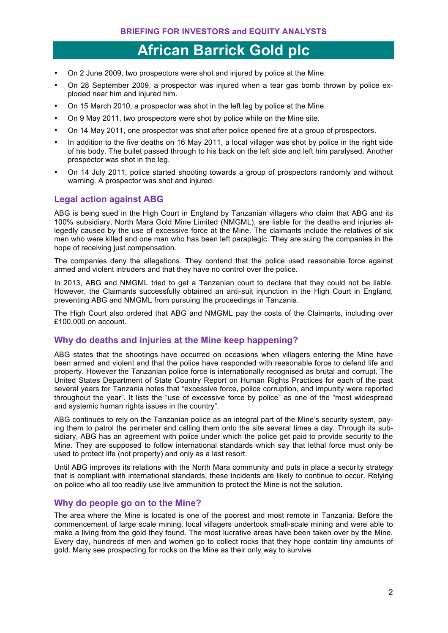## **African Barrick Gold plc**

- On 2 June 2009, two prospectors were shot and injured by police at the Mine.
- On 28 September 2009, a prospector was injured when a tear gas bomb thrown by police exploded near him and injured him.
- On 15 March 2010, a prospector was shot in the left leg by police at the Mine.
- On 9 May 2011, two prospectors were shot by police while on the Mine site.
- On 14 May 2011, one prospector was shot after police opened fire at a group of prospectors.
- In addition to the five deaths on 16 May 2011, a local villager was shot by police in the right side of his body. The bullet passed through to his back on the left side and left him paralysed. Another prospector was shot in the leg.
- On 14 July 2011, police started shooting towards a group of prospectors randomly and without warning. A prospector was shot and injured.

#### **Legal action against ABG**

ABG is being sued in the High Court in England by Tanzanian villagers who claim that ABG and its 100% subsidiary, North Mara Gold Mine Limited (NMGML), are liable for the deaths and injuries allegedly caused by the use of excessive force at the Mine. The claimants include the relatives of six men who were killed and one man who has been left paraplegic. They are suing the companies in the hope of receiving just compensation.

The companies deny the allegations. They contend that the police used reasonable force against armed and violent intruders and that they have no control over the police.

In 2013, ABG and NMGML tried to get a Tanzanian court to declare that they could not be liable. However, the Claimants successfully obtained an anti-suit injunction in the High Court in England, preventing ABG and NMGML from pursuing the proceedings in Tanzania.

The High Court also ordered that ABG and NMGML pay the costs of the Claimants, including over £100,000 on account.

#### **Why do deaths and injuries at the Mine keep happening?**

ABG states that the shootings have occurred on occasions when villagers entering the Mine have been armed and violent and that the police have responded with reasonable force to defend life and property. However the Tanzanian police force is internationally recognised as brutal and corrupt. The United States Department of State Country Report on Human Rights Practices for each of the past several years for Tanzania notes that "excessive force, police corruption, and impunity were reported throughout the year". It lists the "use of excessive force by police" as one of the "most widespread and systemic human rights issues in the country".

ABG continues to rely on the Tanzanian police as an integral part of the Mine's security system, paying them to patrol the perimeter and calling them onto the site several times a day. Through its subsidiary, ABG has an agreement with police under which the police get paid to provide security to the Mine. They are supposed to follow international standards which say that lethal force must only be used to protect life (not property) and only as a last resort.

Until ABG improves its relations with the North Mara community and puts in place a security strategy that is compliant with international standards, these incidents are likely to continue to occur. Relying on police who all too readily use live ammunition to protect the Mine is not the solution.

#### **Why do people go on to the Mine?**

The area where the Mine is located is one of the poorest and most remote in Tanzania. Before the commencement of large scale mining, local villagers undertook small-scale mining and were able to make a living from the gold they found. The most lucrative areas have been taken over by the Mine. Every day, hundreds of men and women go to collect rocks that they hope contain tiny amounts of gold. Many see prospecting for rocks on the Mine as their only way to survive.